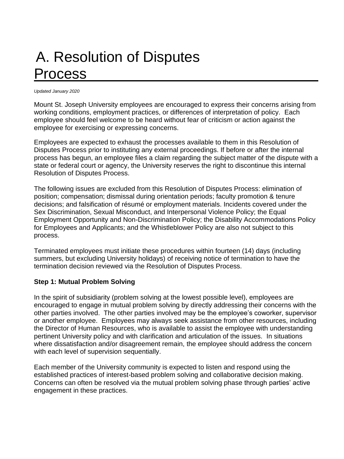# A. Resolution of Disputes Process

#### *Updated January 2020*

Mount St. Joseph University employees are encouraged to express their concerns arising from working conditions, employment practices, or differences of interpretation of policy. Each employee should feel welcome to be heard without fear of criticism or action against the employee for exercising or expressing concerns.

Employees are expected to exhaust the processes available to them in this Resolution of Disputes Process prior to instituting any external proceedings. If before or after the internal process has begun, an employee files a claim regarding the subject matter of the dispute with a state or federal court or agency, the University reserves the right to discontinue this internal Resolution of Disputes Process.

The following issues are excluded from this Resolution of Disputes Process: elimination of position; compensation; dismissal during orientation periods; faculty promotion & tenure decisions; and falsification of résumé or employment materials. Incidents covered under the Sex Discrimination, Sexual Misconduct, and Interpersonal Violence Policy; the Equal Employment Opportunity and Non-Discrimination Policy; the Disability Accommodations Policy for Employees and Applicants; and the Whistleblower Policy are also not subject to this process.

Terminated employees must initiate these procedures within fourteen (14) days (including summers, but excluding University holidays) of receiving notice of termination to have the termination decision reviewed via the Resolution of Disputes Process.

#### **Step 1: Mutual Problem Solving**

In the spirit of subsidiarity (problem solving at the lowest possible level), employees are encouraged to engage in mutual problem solving by directly addressing their concerns with the other parties involved. The other parties involved may be the employee's coworker, supervisor or another employee. Employees may always seek assistance from other resources, including the Director of Human Resources, who is available to assist the employee with understanding pertinent University policy and with clarification and articulation of the issues. In situations where dissatisfaction and/or disagreement remain, the employee should address the concern with each level of supervision sequentially.

Each member of the University community is expected to listen and respond using the established practices of interest-based problem solving and collaborative decision making. Concerns can often be resolved via the mutual problem solving phase through parties' active engagement in these practices.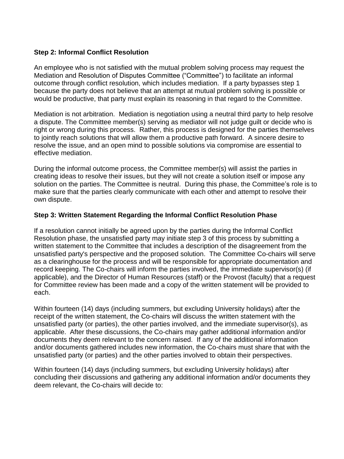#### **Step 2: Informal Conflict Resolution**

An employee who is not satisfied with the mutual problem solving process may request the Mediation and Resolution of Disputes Committee ("Committee") to facilitate an informal outcome through conflict resolution, which includes mediation. If a party bypasses step 1 because the party does not believe that an attempt at mutual problem solving is possible or would be productive, that party must explain its reasoning in that regard to the Committee.

Mediation is not arbitration. Mediation is negotiation using a neutral third party to help resolve a dispute. The Committee member(s) serving as mediator will not judge guilt or decide who is right or wrong during this process. Rather, this process is designed for the parties themselves to jointly reach solutions that will allow them a productive path forward. A sincere desire to resolve the issue, and an open mind to possible solutions via compromise are essential to effective mediation.

During the informal outcome process, the Committee member(s) will assist the parties in creating ideas to resolve their issues, but they will not create a solution itself or impose any solution on the parties. The Committee is neutral. During this phase, the Committee's role is to make sure that the parties clearly communicate with each other and attempt to resolve their own dispute.

### **Step 3: Written Statement Regarding the Informal Conflict Resolution Phase**

If a resolution cannot initially be agreed upon by the parties during the Informal Conflict Resolution phase, the unsatisfied party may initiate step 3 of this process by submitting a written statement to the Committee that includes a description of the disagreement from the unsatisfied party's perspective and the proposed solution. The Committee Co-chairs will serve as a clearinghouse for the process and will be responsible for appropriate documentation and record keeping. The Co-chairs will inform the parties involved, the immediate supervisor(s) (if applicable), and the Director of Human Resources (staff) or the Provost (faculty) that a request for Committee review has been made and a copy of the written statement will be provided to each.

Within fourteen (14) days (including summers, but excluding University holidays) after the receipt of the written statement, the Co-chairs will discuss the written statement with the unsatisfied party (or parties), the other parties involved, and the immediate supervisor(s), as applicable. After these discussions, the Co-chairs may gather additional information and/or documents they deem relevant to the concern raised. If any of the additional information and/or documents gathered includes new information, the Co-chairs must share that with the unsatisfied party (or parties) and the other parties involved to obtain their perspectives.

Within fourteen (14) days (including summers, but excluding University holidays) after concluding their discussions and gathering any additional information and/or documents they deem relevant, the Co-chairs will decide to: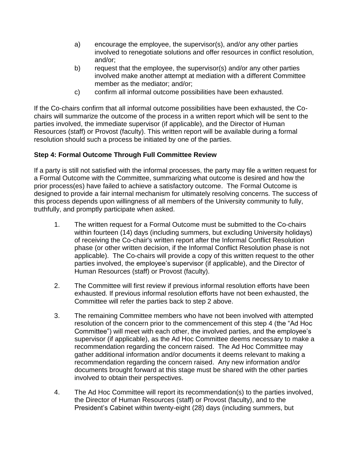- a) encourage the employee, the supervisor(s), and/or any other parties involved to renegotiate solutions and offer resources in conflict resolution, and/or;
- b) request that the employee, the supervisor(s) and/or any other parties involved make another attempt at mediation with a different Committee member as the mediator; and/or;
- c) confirm all informal outcome possibilities have been exhausted.

If the Co-chairs confirm that all informal outcome possibilities have been exhausted, the Cochairs will summarize the outcome of the process in a written report which will be sent to the parties involved, the immediate supervisor (if applicable), and the Director of Human Resources (staff) or Provost (faculty). This written report will be available during a formal resolution should such a process be initiated by one of the parties.

## **Step 4: Formal Outcome Through Full Committee Review**

If a party is still not satisfied with the informal processes, the party may file a written request for a Formal Outcome with the Committee, summarizing what outcome is desired and how the prior process(es) have failed to achieve a satisfactory outcome. The Formal Outcome is designed to provide a fair internal mechanism for ultimately resolving concerns. The success of this process depends upon willingness of all members of the University community to fully, truthfully, and promptly participate when asked.

- 1. The written request for a Formal Outcome must be submitted to the Co-chairs within fourteen (14) days (including summers, but excluding University holidays) of receiving the Co-chair's written report after the Informal Conflict Resolution phase (or other written decision, if the Informal Conflict Resolution phase is not applicable). The Co-chairs will provide a copy of this written request to the other parties involved, the employee's supervisor (if applicable), and the Director of Human Resources (staff) or Provost (faculty).
- 2. The Committee will first review if previous informal resolution efforts have been exhausted. If previous informal resolution efforts have not been exhausted, the Committee will refer the parties back to step 2 above.
- 3. The remaining Committee members who have not been involved with attempted resolution of the concern prior to the commencement of this step 4 (the "Ad Hoc Committee") will meet with each other, the involved parties, and the employee's supervisor (if applicable), as the Ad Hoc Committee deems necessary to make a recommendation regarding the concern raised. The Ad Hoc Committee may gather additional information and/or documents it deems relevant to making a recommendation regarding the concern raised. Any new information and/or documents brought forward at this stage must be shared with the other parties involved to obtain their perspectives.
- 4. The Ad Hoc Committee will report its recommendation(s) to the parties involved, the Director of Human Resources (staff) or Provost (faculty), and to the President's Cabinet within twenty-eight (28) days (including summers, but